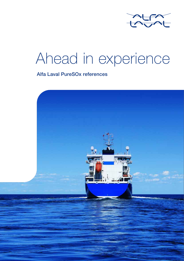

## Ahead in experience

### Alfa Laval PureSOx references

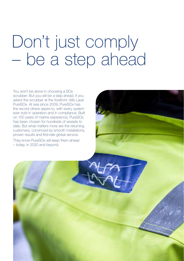# Don't just comply – be a step ahead

You won't be alone in choosing a SOx scrubber. But you will be a step ahead, if you select the scrubber at the forefront: Alfa Laval PureSOx. At sea since 2009, PureSOx has the record others aspire to, with every system ever sold in operation and in compliance. Built on 100 years of marine experience, PureSOx has been chosen for hundreds of vessels to date. But what matters more are the returning customers, convinced by smooth installations, proven results and first-rate global service.

They know PureSOx will keep them ahead – today, in 2020 and beyond.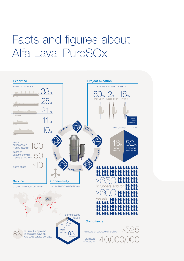## Facts and figures about Alfa Laval PureSOx

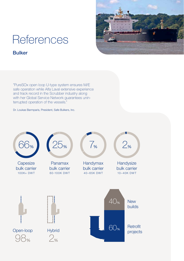

### Bulker

"PureSOx open loop U-type system ensures M/E safe operation while Alfa Laval extensive experience and track record in the Scrubber industry along with her Global Service Network guarantees uninterrupted operation of the vessels."

Dr. Loukas Barmparis, President, Safe Bulkers, Inc.

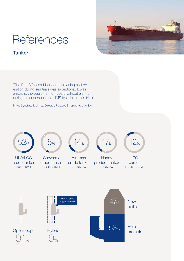

### **Tanker**

"The PureSOx scrubber commissioning and operation during sea trials was exceptional. It was amongst the equipment on board without alarms during the endurance and UMS tests in the sea trials."

Miltos Synefias, Technical Director, Pleiades Shipping Agents S.A.

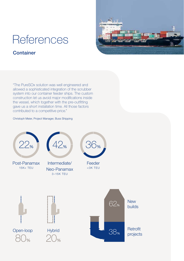### **Container**



"The PureSOx solution was well engineered and allowed a sophisticated integration of the scrubber system into our container feeder ships. The custom construction let us avoid major modifications inside the vessel, which together with the pre-outfitting gave us a short installation time. All those factors contributed to a competitive price."

#### Christoph Meier, Project Manager, Buss Shipping

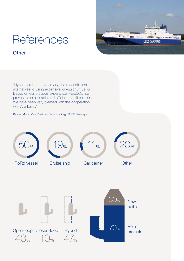

#### **Other**

"Hybrid scrubbers are among the most efficient alternatives to using expensive low-sulphur fuel oil. Based on our previous experience, PureSOx has proven to be a reliable and efficient retrofit solution. We have been very pleased with the cooperation with Alfa Laval."

#### Kasper Moos, Vice President Technical Org., DFDS Seaways